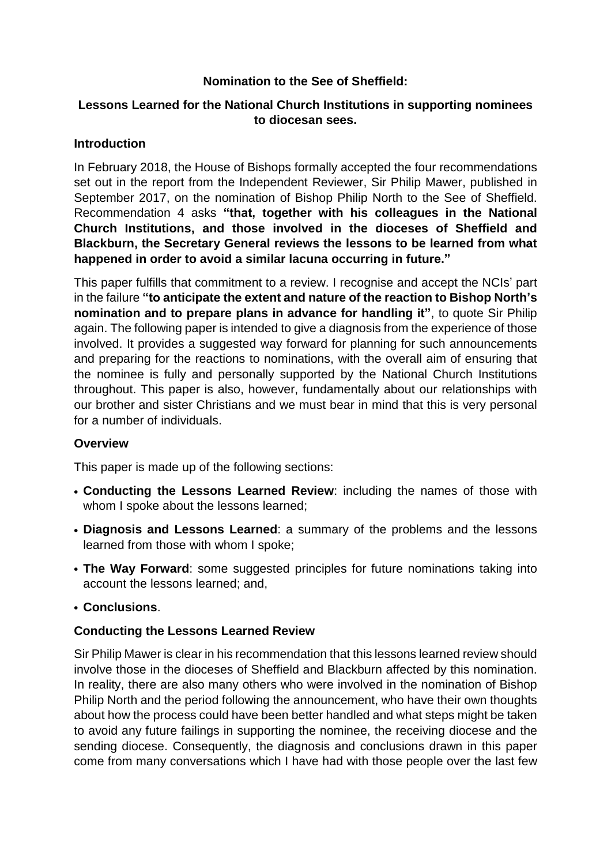## **Nomination to the See of Sheffield:**

#### **Lessons Learned for the National Church Institutions in supporting nominees to diocesan sees.**

#### **Introduction**

In February 2018, the House of Bishops formally accepted the four recommendations set out in the report from the Independent Reviewer, Sir Philip Mawer, published in September 2017, on the nomination of Bishop Philip North to the See of Sheffield. Recommendation 4 asks **"that, together with his colleagues in the National Church Institutions, and those involved in the dioceses of Sheffield and Blackburn, the Secretary General reviews the lessons to be learned from what happened in order to avoid a similar lacuna occurring in future."**

This paper fulfills that commitment to a review. I recognise and accept the NCIs' part in the failure **"to anticipate the extent and nature of the reaction to Bishop North's nomination and to prepare plans in advance for handling it"**, to quote Sir Philip again. The following paper is intended to give a diagnosis from the experience of those involved. It provides a suggested way forward for planning for such announcements and preparing for the reactions to nominations, with the overall aim of ensuring that the nominee is fully and personally supported by the National Church Institutions throughout. This paper is also, however, fundamentally about our relationships with our brother and sister Christians and we must bear in mind that this is very personal for a number of individuals.

## **Overview**

This paper is made up of the following sections:

- **• Conducting the Lessons Learned Review**: including the names of those with whom I spoke about the lessons learned;
- **• Diagnosis and Lessons Learned**: a summary of the problems and the lessons learned from those with whom I spoke;
- **• The Way Forward**: some suggested principles for future nominations taking into account the lessons learned; and,
- **• Conclusions**.

## **Conducting the Lessons Learned Review**

Sir Philip Mawer is clear in his recommendation that this lessons learned review should involve those in the dioceses of Sheffield and Blackburn affected by this nomination. In reality, there are also many others who were involved in the nomination of Bishop Philip North and the period following the announcement, who have their own thoughts about how the process could have been better handled and what steps might be taken to avoid any future failings in supporting the nominee, the receiving diocese and the sending diocese. Consequently, the diagnosis and conclusions drawn in this paper come from many conversations which I have had with those people over the last few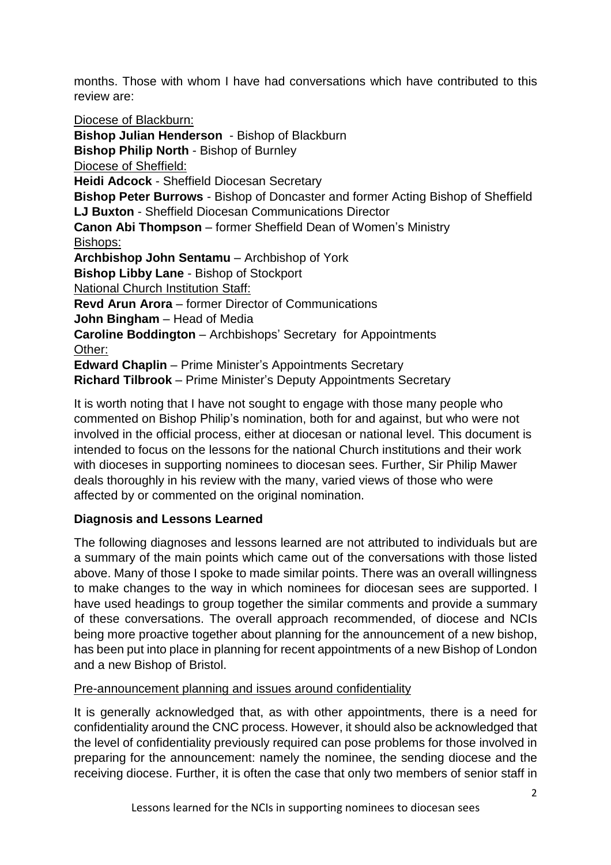months. Those with whom I have had conversations which have contributed to this review are:

Diocese of Blackburn: **Bishop Julian Henderson** - Bishop of Blackburn **Bishop Philip North** - Bishop of Burnley Diocese of Sheffield: **Heidi Adcock** - Sheffield Diocesan Secretary **Bishop Peter Burrows** - Bishop of Doncaster and former Acting Bishop of Sheffield **LJ Buxton** - Sheffield Diocesan Communications Director **Canon Abi Thompson** – former Sheffield Dean of Women's Ministry Bishops: **Archbishop John Sentamu** – Archbishop of York **Bishop Libby Lane** - Bishop of Stockport National Church Institution Staff: **Revd Arun Arora** – former Director of Communications **John Bingham** – Head of Media **Caroline Boddington** – Archbishops' Secretary for Appointments Other: **Edward Chaplin** – Prime Minister's Appointments Secretary **Richard Tilbrook** – Prime Minister's Deputy Appointments Secretary

It is worth noting that I have not sought to engage with those many people who commented on Bishop Philip's nomination, both for and against, but who were not involved in the official process, either at diocesan or national level. This document is intended to focus on the lessons for the national Church institutions and their work with dioceses in supporting nominees to diocesan sees. Further, Sir Philip Mawer deals thoroughly in his review with the many, varied views of those who were affected by or commented on the original nomination.

# **Diagnosis and Lessons Learned**

The following diagnoses and lessons learned are not attributed to individuals but are a summary of the main points which came out of the conversations with those listed above. Many of those I spoke to made similar points. There was an overall willingness to make changes to the way in which nominees for diocesan sees are supported. I have used headings to group together the similar comments and provide a summary of these conversations. The overall approach recommended, of diocese and NCIs being more proactive together about planning for the announcement of a new bishop, has been put into place in planning for recent appointments of a new Bishop of London and a new Bishop of Bristol.

## Pre-announcement planning and issues around confidentiality

It is generally acknowledged that, as with other appointments, there is a need for confidentiality around the CNC process. However, it should also be acknowledged that the level of confidentiality previously required can pose problems for those involved in preparing for the announcement: namely the nominee, the sending diocese and the receiving diocese. Further, it is often the case that only two members of senior staff in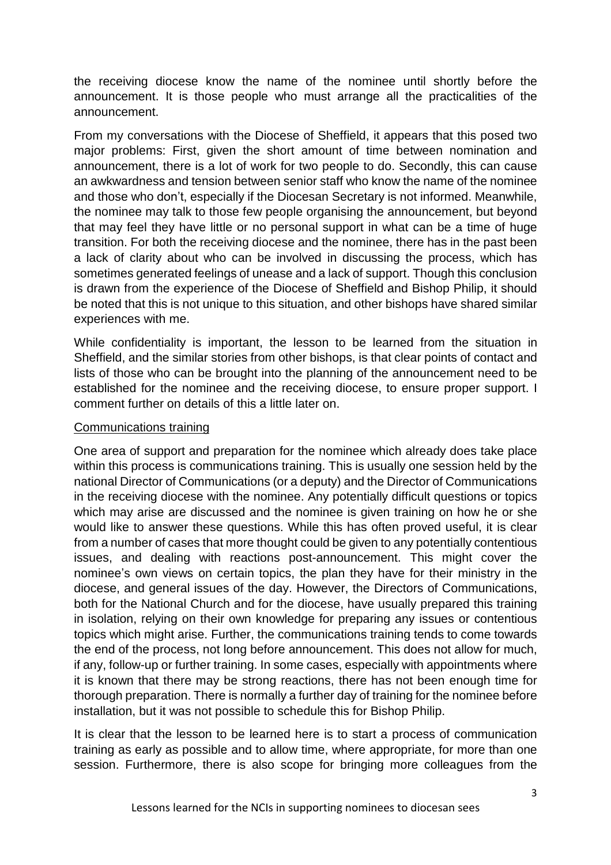the receiving diocese know the name of the nominee until shortly before the announcement. It is those people who must arrange all the practicalities of the announcement.

From my conversations with the Diocese of Sheffield, it appears that this posed two major problems: First, given the short amount of time between nomination and announcement, there is a lot of work for two people to do. Secondly, this can cause an awkwardness and tension between senior staff who know the name of the nominee and those who don't, especially if the Diocesan Secretary is not informed. Meanwhile, the nominee may talk to those few people organising the announcement, but beyond that may feel they have little or no personal support in what can be a time of huge transition. For both the receiving diocese and the nominee, there has in the past been a lack of clarity about who can be involved in discussing the process, which has sometimes generated feelings of unease and a lack of support. Though this conclusion is drawn from the experience of the Diocese of Sheffield and Bishop Philip, it should be noted that this is not unique to this situation, and other bishops have shared similar experiences with me.

While confidentiality is important, the lesson to be learned from the situation in Sheffield, and the similar stories from other bishops, is that clear points of contact and lists of those who can be brought into the planning of the announcement need to be established for the nominee and the receiving diocese, to ensure proper support. I comment further on details of this a little later on.

#### Communications training

One area of support and preparation for the nominee which already does take place within this process is communications training. This is usually one session held by the national Director of Communications (or a deputy) and the Director of Communications in the receiving diocese with the nominee. Any potentially difficult questions or topics which may arise are discussed and the nominee is given training on how he or she would like to answer these questions. While this has often proved useful, it is clear from a number of cases that more thought could be given to any potentially contentious issues, and dealing with reactions post-announcement. This might cover the nominee's own views on certain topics, the plan they have for their ministry in the diocese, and general issues of the day. However, the Directors of Communications, both for the National Church and for the diocese, have usually prepared this training in isolation, relying on their own knowledge for preparing any issues or contentious topics which might arise. Further, the communications training tends to come towards the end of the process, not long before announcement. This does not allow for much, if any, follow-up or further training. In some cases, especially with appointments where it is known that there may be strong reactions, there has not been enough time for thorough preparation. There is normally a further day of training for the nominee before installation, but it was not possible to schedule this for Bishop Philip.

It is clear that the lesson to be learned here is to start a process of communication training as early as possible and to allow time, where appropriate, for more than one session. Furthermore, there is also scope for bringing more colleagues from the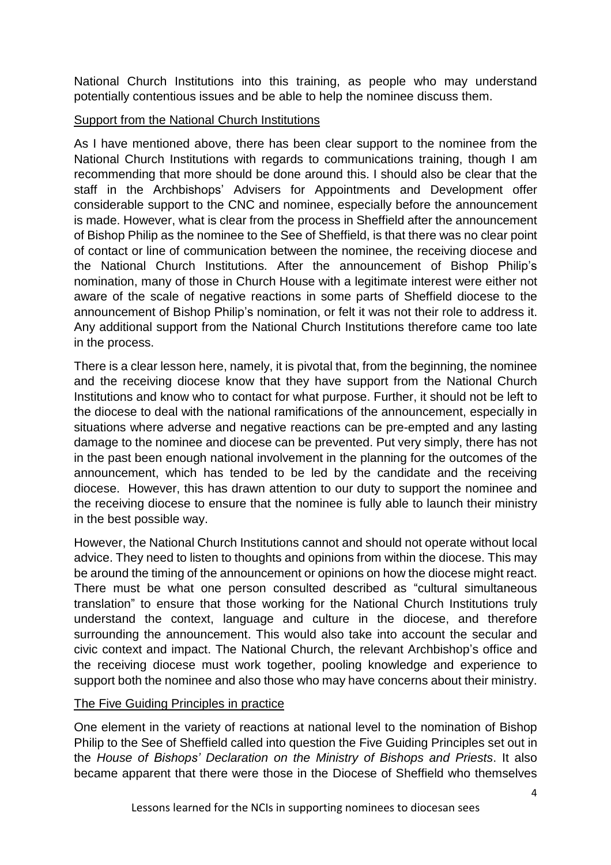National Church Institutions into this training, as people who may understand potentially contentious issues and be able to help the nominee discuss them.

# Support from the National Church Institutions

As I have mentioned above, there has been clear support to the nominee from the National Church Institutions with regards to communications training, though I am recommending that more should be done around this. I should also be clear that the staff in the Archbishops' Advisers for Appointments and Development offer considerable support to the CNC and nominee, especially before the announcement is made. However, what is clear from the process in Sheffield after the announcement of Bishop Philip as the nominee to the See of Sheffield, is that there was no clear point of contact or line of communication between the nominee, the receiving diocese and the National Church Institutions. After the announcement of Bishop Philip's nomination, many of those in Church House with a legitimate interest were either not aware of the scale of negative reactions in some parts of Sheffield diocese to the announcement of Bishop Philip's nomination, or felt it was not their role to address it. Any additional support from the National Church Institutions therefore came too late in the process.

There is a clear lesson here, namely, it is pivotal that, from the beginning, the nominee and the receiving diocese know that they have support from the National Church Institutions and know who to contact for what purpose. Further, it should not be left to the diocese to deal with the national ramifications of the announcement, especially in situations where adverse and negative reactions can be pre-empted and any lasting damage to the nominee and diocese can be prevented. Put very simply, there has not in the past been enough national involvement in the planning for the outcomes of the announcement, which has tended to be led by the candidate and the receiving diocese. However, this has drawn attention to our duty to support the nominee and the receiving diocese to ensure that the nominee is fully able to launch their ministry in the best possible way.

However, the National Church Institutions cannot and should not operate without local advice. They need to listen to thoughts and opinions from within the diocese. This may be around the timing of the announcement or opinions on how the diocese might react. There must be what one person consulted described as "cultural simultaneous translation" to ensure that those working for the National Church Institutions truly understand the context, language and culture in the diocese, and therefore surrounding the announcement. This would also take into account the secular and civic context and impact. The National Church, the relevant Archbishop's office and the receiving diocese must work together, pooling knowledge and experience to support both the nominee and also those who may have concerns about their ministry.

## The Five Guiding Principles in practice

One element in the variety of reactions at national level to the nomination of Bishop Philip to the See of Sheffield called into question the Five Guiding Principles set out in the *House of Bishops' Declaration on the Ministry of Bishops and Priests*. It also became apparent that there were those in the Diocese of Sheffield who themselves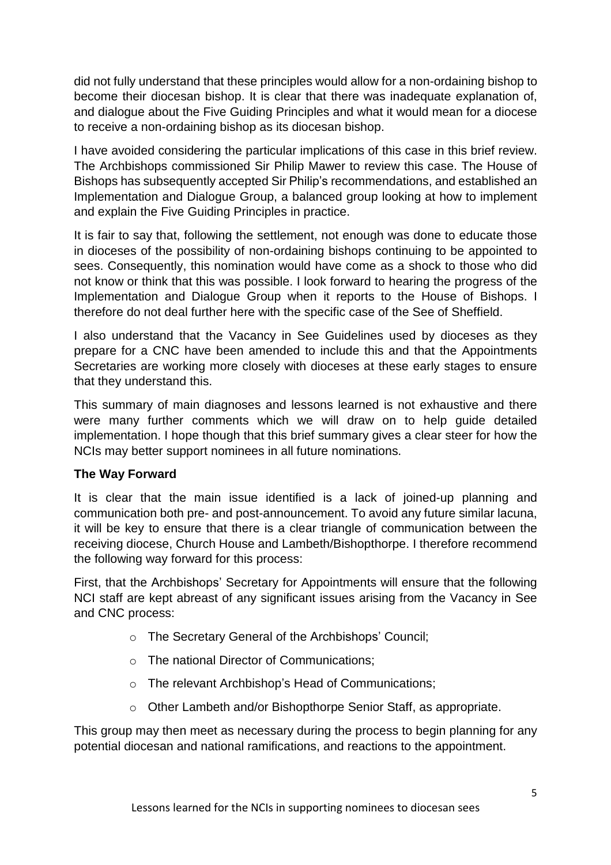did not fully understand that these principles would allow for a non-ordaining bishop to become their diocesan bishop. It is clear that there was inadequate explanation of, and dialogue about the Five Guiding Principles and what it would mean for a diocese to receive a non-ordaining bishop as its diocesan bishop.

I have avoided considering the particular implications of this case in this brief review. The Archbishops commissioned Sir Philip Mawer to review this case. The House of Bishops has subsequently accepted Sir Philip's recommendations, and established an Implementation and Dialogue Group, a balanced group looking at how to implement and explain the Five Guiding Principles in practice.

It is fair to say that, following the settlement, not enough was done to educate those in dioceses of the possibility of non-ordaining bishops continuing to be appointed to sees. Consequently, this nomination would have come as a shock to those who did not know or think that this was possible. I look forward to hearing the progress of the Implementation and Dialogue Group when it reports to the House of Bishops. I therefore do not deal further here with the specific case of the See of Sheffield.

I also understand that the Vacancy in See Guidelines used by dioceses as they prepare for a CNC have been amended to include this and that the Appointments Secretaries are working more closely with dioceses at these early stages to ensure that they understand this.

This summary of main diagnoses and lessons learned is not exhaustive and there were many further comments which we will draw on to help guide detailed implementation. I hope though that this brief summary gives a clear steer for how the NCIs may better support nominees in all future nominations.

## **The Way Forward**

It is clear that the main issue identified is a lack of joined-up planning and communication both pre- and post-announcement. To avoid any future similar lacuna, it will be key to ensure that there is a clear triangle of communication between the receiving diocese, Church House and Lambeth/Bishopthorpe. I therefore recommend the following way forward for this process:

First, that the Archbishops' Secretary for Appointments will ensure that the following NCI staff are kept abreast of any significant issues arising from the Vacancy in See and CNC process:

- o The Secretary General of the Archbishops' Council;
- o The national Director of Communications;
- o The relevant Archbishop's Head of Communications;
- o Other Lambeth and/or Bishopthorpe Senior Staff, as appropriate.

This group may then meet as necessary during the process to begin planning for any potential diocesan and national ramifications, and reactions to the appointment.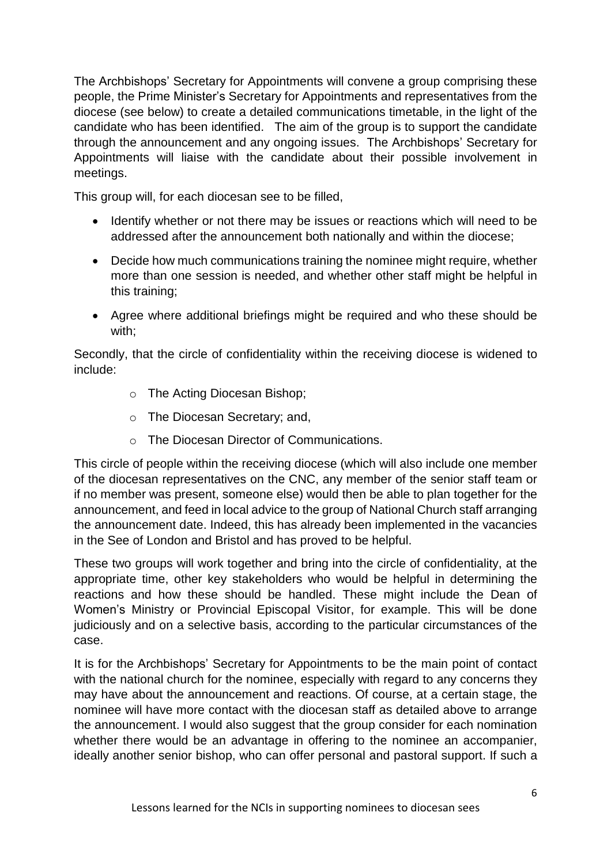The Archbishops' Secretary for Appointments will convene a group comprising these people, the Prime Minister's Secretary for Appointments and representatives from the diocese (see below) to create a detailed communications timetable, in the light of the candidate who has been identified. The aim of the group is to support the candidate through the announcement and any ongoing issues. The Archbishops' Secretary for Appointments will liaise with the candidate about their possible involvement in meetings.

This group will, for each diocesan see to be filled,

- Identify whether or not there may be issues or reactions which will need to be addressed after the announcement both nationally and within the diocese;
- Decide how much communications training the nominee might require, whether more than one session is needed, and whether other staff might be helpful in this training;
- Agree where additional briefings might be required and who these should be with;

Secondly, that the circle of confidentiality within the receiving diocese is widened to include:

- o The Acting Diocesan Bishop;
- o The Diocesan Secretary; and,
- o The Diocesan Director of Communications.

This circle of people within the receiving diocese (which will also include one member of the diocesan representatives on the CNC, any member of the senior staff team or if no member was present, someone else) would then be able to plan together for the announcement, and feed in local advice to the group of National Church staff arranging the announcement date. Indeed, this has already been implemented in the vacancies in the See of London and Bristol and has proved to be helpful.

These two groups will work together and bring into the circle of confidentiality, at the appropriate time, other key stakeholders who would be helpful in determining the reactions and how these should be handled. These might include the Dean of Women's Ministry or Provincial Episcopal Visitor, for example. This will be done judiciously and on a selective basis, according to the particular circumstances of the case.

It is for the Archbishops' Secretary for Appointments to be the main point of contact with the national church for the nominee, especially with regard to any concerns they may have about the announcement and reactions. Of course, at a certain stage, the nominee will have more contact with the diocesan staff as detailed above to arrange the announcement. I would also suggest that the group consider for each nomination whether there would be an advantage in offering to the nominee an accompanier, ideally another senior bishop, who can offer personal and pastoral support. If such a